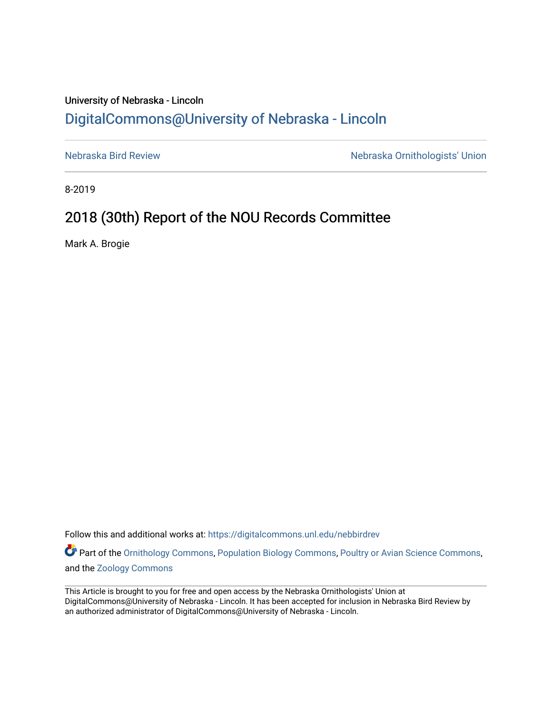## University of Nebraska - Lincoln [DigitalCommons@University of Nebraska - Lincoln](https://digitalcommons.unl.edu/)

[Nebraska Bird Review](https://digitalcommons.unl.edu/nebbirdrev) [Nebraska Ornithologists' Union](https://digitalcommons.unl.edu/nebornithologists) 

8-2019

# 2018 (30th) Report of the NOU Records Committee

Mark A. Brogie

Follow this and additional works at: [https://digitalcommons.unl.edu/nebbirdrev](https://digitalcommons.unl.edu/nebbirdrev?utm_source=digitalcommons.unl.edu%2Fnebbirdrev%2F1466&utm_medium=PDF&utm_campaign=PDFCoverPages)

Part of the [Ornithology Commons,](http://network.bepress.com/hgg/discipline/1190?utm_source=digitalcommons.unl.edu%2Fnebbirdrev%2F1466&utm_medium=PDF&utm_campaign=PDFCoverPages) [Population Biology Commons](http://network.bepress.com/hgg/discipline/19?utm_source=digitalcommons.unl.edu%2Fnebbirdrev%2F1466&utm_medium=PDF&utm_campaign=PDFCoverPages), [Poultry or Avian Science Commons,](http://network.bepress.com/hgg/discipline/80?utm_source=digitalcommons.unl.edu%2Fnebbirdrev%2F1466&utm_medium=PDF&utm_campaign=PDFCoverPages) and the [Zoology Commons](http://network.bepress.com/hgg/discipline/81?utm_source=digitalcommons.unl.edu%2Fnebbirdrev%2F1466&utm_medium=PDF&utm_campaign=PDFCoverPages) 

This Article is brought to you for free and open access by the Nebraska Ornithologists' Union at DigitalCommons@University of Nebraska - Lincoln. It has been accepted for inclusion in Nebraska Bird Review by an authorized administrator of DigitalCommons@University of Nebraska - Lincoln.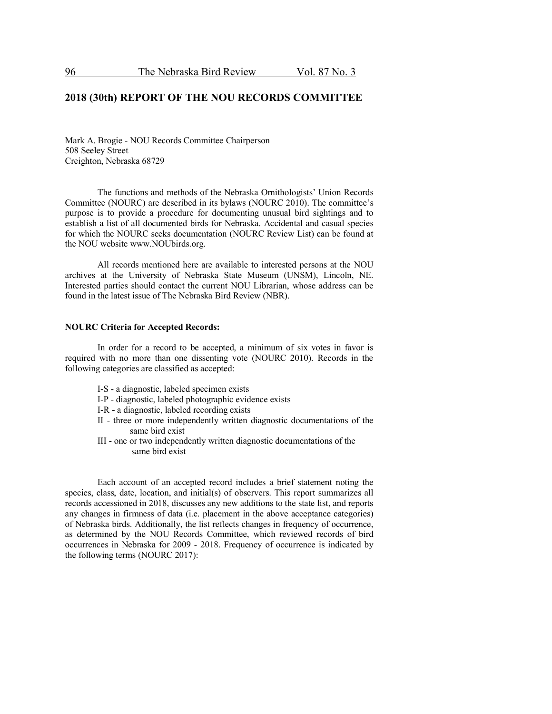## **2018 (30th) REPORT OF THE NOU RECORDS COMMITTEE**

Mark A. Brogie - NOU Records Committee Chairperson 508 Seeley Street Creighton, Nebraska 68729

The functions and methods of the Nebraska Ornithologists' Union Records Committee (NOURC) are described in its bylaws (NOURC 2010). The committee's purpose is to provide a procedure for documenting unusual bird sightings and to establish a list of all documented birds for Nebraska. Accidental and casual species for which the NOURC seeks documentation (NOURC Review List) can be found at the NOU website www.NOUbirds.org.

All records mentioned here are available to interested persons at the NOU archives at the University of Nebraska State Museum (UNSM), Lincoln, NE. Interested parties should contact the current NOU Librarian, whose address can be found in the latest issue of The Nebraska Bird Review (NBR).

## **NOURC Criteria for Accepted Records:**

In order for a record to be accepted, a minimum of six votes in favor is required with no more than one dissenting vote (NOURC 2010). Records in the following categories are classified as accepted:

- I-S a diagnostic, labeled specimen exists
- I-P diagnostic, labeled photographic evidence exists
- I-R a diagnostic, labeled recording exists
- II three or more independently written diagnostic documentations of the same bird exist
- III one or two independently written diagnostic documentations of the same bird exist

Each account of an accepted record includes a brief statement noting the species, class, date, location, and initial(s) of observers. This report summarizes all records accessioned in 2018, discusses any new additions to the state list, and reports any changes in firmness of data (i.e. placement in the above acceptance categories) of Nebraska birds. Additionally, the list reflects changes in frequency of occurrence, as determined by the NOU Records Committee, which reviewed records of bird occurrences in Nebraska for 2009 - 2018. Frequency of occurrence is indicated by the following terms (NOURC 2017):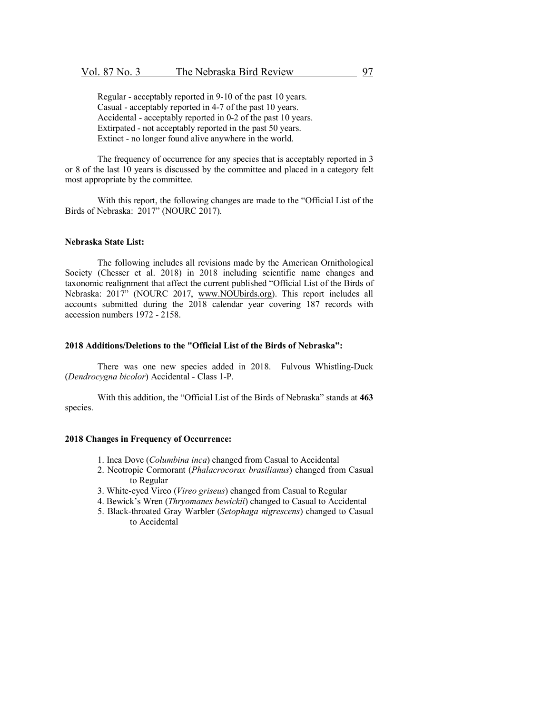Regular - acceptably reported in 9-10 of the past 10 years. Casual - acceptably reported in 4-7 of the past 10 years. Accidental - acceptably reported in 0-2 of the past 10 years. Extirpated - not acceptably reported in the past 50 years. Extinct - no longer found alive anywhere in the world.

The frequency of occurrence for any species that is acceptably reported in 3 or 8 of the last 10 years is discussed by the committee and placed in a category felt most appropriate by the committee.

With this report, the following changes are made to the "Official List of the Birds of Nebraska: 2017" (NOURC 2017).

## **Nebraska State List:**

The following includes all revisions made by the American Ornithological Society (Chesser et al. 2018) in 2018 including scientific name changes and taxonomic realignment that affect the current published "Official List of the Birds of Nebraska: 2017" (NOURC 2017, www.NOUbirds.org). This report includes all accounts submitted during the 2018 calendar year covering 187 records with accession numbers 1972 - 2158.

## **2018 Additions/Deletions to the "Official List of the Birds of Nebraska":**

There was one new species added in 2018. Fulvous Whistling-Duck (*Dendrocygna bicolor*) Accidental - Class 1-P.

With this addition, the "Official List of the Birds of Nebraska" stands at **463** species.

#### **2018 Changes in Frequency of Occurrence:**

- 1. Inca Dove (*Columbina inca*) changed from Casual to Accidental
- 2. Neotropic Cormorant (*Phalacrocorax brasilianus*) changed from Casual to Regular
- 3. White-eyed Vireo (*Vireo griseus*) changed from Casual to Regular
- 4. Bewick's Wren (*Thryomanes bewickii*) changed to Casual to Accidental
- 5. Black-throated Gray Warbler (*Setophaga nigrescens*) changed to Casual to Accidental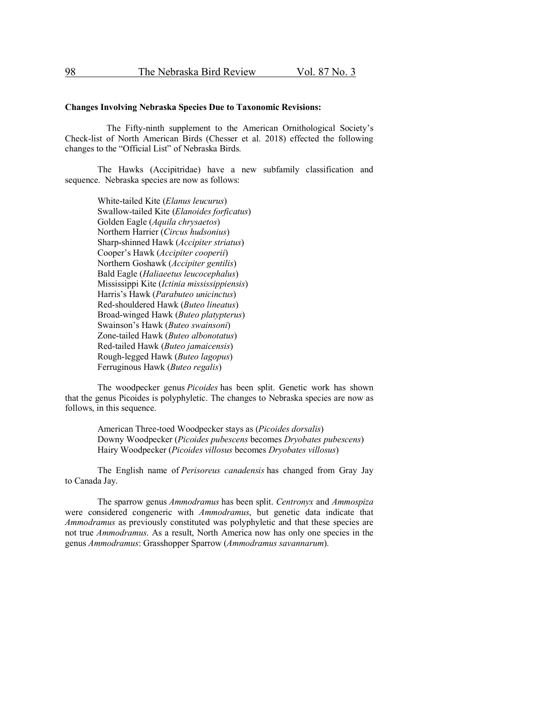## **Changes Involving Nebraska Species Due to Taxonomic Revisions:**

The Fifty-ninth supplement to the American Ornithological Society's Check-list of North American Birds (Chesser et al. 2018) effected the following changes to the "Official List" of Nebraska Birds.

The Hawks (Accipitridae) have a new subfamily classification and sequence. Nebraska species are now as follows:

> White-tailed Kite (*Elanus leucurus*) Swallow-tailed Kite (*Elanoides forficatus*) Golden Eagle (*Aquila chrysaetos*) Northern Harrier (*Circus hudsonius*) Sharp-shinned Hawk (*Accipiter striatus*) Cooper's Hawk (*Accipiter cooperii*) Northern Goshawk (*Accipiter gentilis*) Bald Eagle (*Haliaeetus leucocephalus*) Mississippi Kite (*Ictinia mississippiensis*) Harris's Hawk (*Parabuteo unicinctus*) Red-shouldered Hawk (*Buteo lineatus*) Broad-winged Hawk (*Buteo platypterus*) Swainson's Hawk (*Buteo swainsoni*) Zone-tailed Hawk (*Buteo albonotatus*) Red-tailed Hawk (*Buteo jamaicensis*) Rough-legged Hawk (*Buteo lagopus*) Ferruginous Hawk (*Buteo regalis*)

The woodpecker genus *Picoides* has been split. Genetic work has shown that the genus Picoides is polyphyletic. The changes to Nebraska species are now as follows, in this sequence.

> American Three-toed Woodpecker stays as (*Picoides dorsalis*) Downy Woodpecker (*Picoides pubescens* becomes *Dryobates pubescens*) Hairy Woodpecker (*Picoides villosus* becomes *Dryobates villosus*)

The English name of *Perisoreus canadensis* has changed from Gray Jay to Canada Jay.

The sparrow genus *Ammodramus* has been split. *Centronyx* and *Ammospiza* were considered congeneric with *Ammodramus*, but genetic data indicate that *Ammodramus* as previously constituted was polyphyletic and that these species are not true *Ammodramus*. As a result, North America now has only one species in the genus *Ammodramus*: Grasshopper Sparrow (*Ammodramus savannarum*).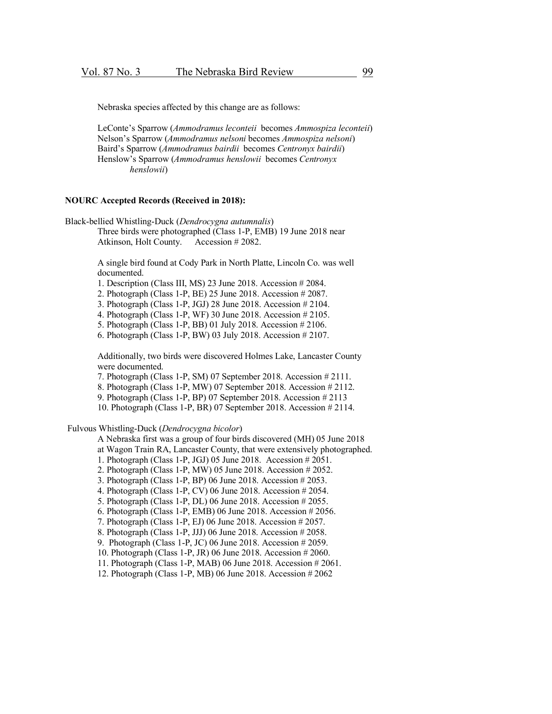Nebraska species affected by this change are as follows:

LeConte's Sparrow (*Ammodramus leconteii* becomes *Ammospiza leconteii*) Nelson's Sparrow (*Ammodramus nelsoni* becomes *Ammospiza nelsoni*) Baird's Sparrow (*Ammodramus bairdii* becomes *Centronyx bairdii*) Henslow's Sparrow (*Ammodramus henslowii* becomes *Centronyx henslowii*)

## **NOURC Accepted Records (Received in 2018):**

Black-bellied Whistling-Duck (*Dendrocygna autumnalis*) Three birds were photographed (Class 1-P, EMB) 19 June 2018 near Atkinson, Holt County. Accession # 2082.

> A single bird found at Cody Park in North Platte, Lincoln Co. was well documented.

- 1. Description (Class III, MS) 23 June 2018. Accession # 2084.
- 2. Photograph (Class 1-P, BE) 25 June 2018. Accession # 2087.
- 3. Photograph (Class 1-P, JGJ) 28 June 2018. Accession # 2104.
- 4. Photograph (Class 1-P, WF) 30 June 2018. Accession # 2105.
- 5. Photograph (Class 1-P, BB) 01 July 2018. Accession # 2106.
- 6. Photograph (Class 1-P, BW) 03 July 2018. Accession # 2107.

Additionally, two birds were discovered Holmes Lake, Lancaster County were documented.

- 7. Photograph (Class 1-P, SM) 07 September 2018. Accession # 2111.
- 8. Photograph (Class 1-P, MW) 07 September 2018. Accession # 2112.
- 9. Photograph (Class 1-P, BP) 07 September 2018. Accession # 2113
- 10. Photograph (Class 1-P, BR) 07 September 2018. Accession # 2114.

## Fulvous Whistling-Duck (*Dendrocygna bicolor*)

A Nebraska first was a group of four birds discovered (MH) 05 June 2018

at Wagon Train RA, Lancaster County, that were extensively photographed.

- 1. Photograph (Class 1-P, JGJ) 05 June 2018. Accession # 2051.
- 2. Photograph (Class 1-P, MW) 05 June 2018. Accession # 2052.
- 3. Photograph (Class 1-P, BP) 06 June 2018. Accession # 2053.
- 4. Photograph (Class 1-P, CV) 06 June 2018. Accession # 2054.
- 5. Photograph (Class 1-P, DL) 06 June 2018. Accession # 2055.
- 6. Photograph (Class 1-P, EMB) 06 June 2018. Accession # 2056.
- 7. Photograph (Class 1-P, EJ) 06 June 2018. Accession # 2057.
- 8. Photograph (Class 1-P, JJJ) 06 June 2018. Accession # 2058.
- 9. Photograph (Class 1-P, JC) 06 June 2018. Accession # 2059.
- 10. Photograph (Class 1-P, JR) 06 June 2018. Accession # 2060.
- 11. Photograph (Class 1-P, MAB) 06 June 2018. Accession # 2061.
- 12. Photograph (Class 1-P, MB) 06 June 2018. Accession # 2062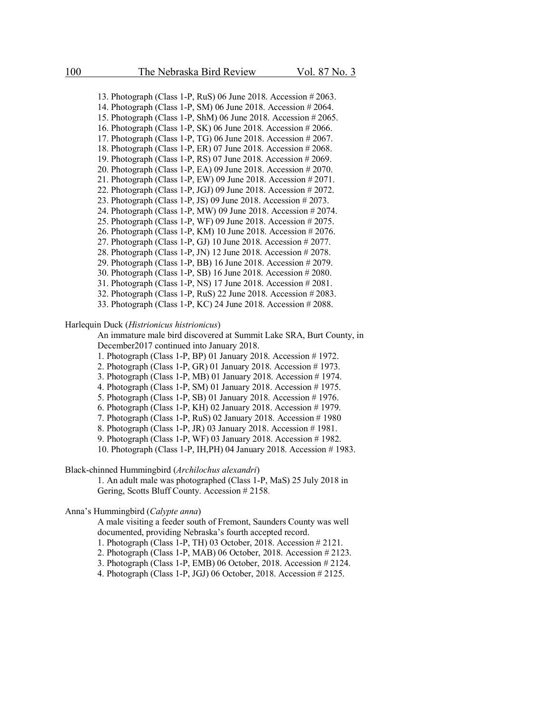13. Photograph (Class 1-P, RuS) 06 June 2018. Accession # 2063. 14. Photograph (Class 1-P, SM) 06 June 2018. Accession # 2064. 15. Photograph (Class 1-P, ShM) 06 June 2018. Accession # 2065. 16. Photograph (Class 1-P, SK) 06 June 2018. Accession # 2066. 17. Photograph (Class 1-P, TG) 06 June 2018. Accession # 2067. 18. Photograph (Class 1-P, ER) 07 June 2018. Accession # 2068. 19. Photograph (Class 1-P, RS) 07 June 2018. Accession # 2069. 20. Photograph (Class 1-P, EA) 09 June 2018. Accession # 2070. 21. Photograph (Class 1-P, EW) 09 June 2018. Accession # 2071. 22. Photograph (Class 1-P, JGJ) 09 June 2018. Accession # 2072. 23. Photograph (Class 1-P, JS) 09 June 2018. Accession # 2073. 24. Photograph (Class 1-P, MW) 09 June 2018. Accession # 2074. 25. Photograph (Class 1-P, WF) 09 June 2018. Accession # 2075. 26. Photograph (Class 1-P, KM) 10 June 2018. Accession # 2076. 27. Photograph (Class 1-P, GJ) 10 June 2018. Accession # 2077. 28. Photograph (Class 1-P, JN) 12 June 2018. Accession # 2078. 29. Photograph (Class 1-P, BB) 16 June 2018. Accession # 2079. 30. Photograph (Class 1-P, SB) 16 June 2018. Accession # 2080. 31. Photograph (Class 1-P, NS) 17 June 2018. Accession # 2081. 32. Photograph (Class 1-P, RuS) 22 June 2018. Accession # 2083.

33. Photograph (Class 1-P, KC) 24 June 2018. Accession # 2088.

#### Harlequin Duck (*Histrionicus histrionicus*)

An immature male bird discovered at Summit Lake SRA, Burt County, in December2017 continued into January 2018.

- 1. Photograph (Class 1-P, BP) 01 January 2018. Accession # 1972.
- 2. Photograph (Class 1-P, GR) 01 January 2018. Accession # 1973.
- 3. Photograph (Class 1-P, MB) 01 January 2018. Accession # 1974.
- 4. Photograph (Class 1-P, SM) 01 January 2018. Accession # 1975.
- 5. Photograph (Class 1-P, SB) 01 January 2018. Accession # 1976.
- 6. Photograph (Class 1-P, KH) 02 January 2018. Accession # 1979.
- 7. Photograph (Class 1-P, RuS) 02 January 2018. Accession # 1980
- 8. Photograph (Class 1-P, JR) 03 January 2018. Accession # 1981.
- 9. Photograph (Class 1-P, WF) 03 January 2018. Accession # 1982.
- 10. Photograph (Class 1-P, IH,PH) 04 January 2018. Accession # 1983.

## Black-chinned Hummingbird (*Archilochus alexandri*)

1. An adult male was photographed (Class 1-P, MaS) 25 July 2018 in Gering, Scotts Bluff County. Accession # 2158.

Anna's Hummingbird (*Calypte anna*)

A male visiting a feeder south of Fremont, Saunders County was well documented, providing Nebraska's fourth accepted record.

- 1. Photograph (Class 1-P, TH) 03 October, 2018. Accession # 2121.
- 2. Photograph (Class 1-P, MAB) 06 October, 2018. Accession # 2123.
- 3. Photograph (Class 1-P, EMB) 06 October, 2018. Accession # 2124.
- 4. Photograph (Class 1-P, JGJ) 06 October, 2018. Accession # 2125.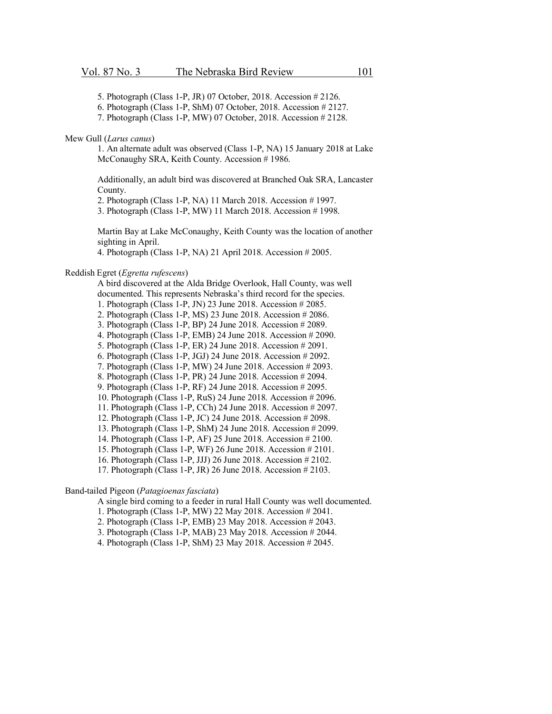- 5. Photograph (Class 1-P, JR) 07 October, 2018. Accession # 2126.
- 6. Photograph (Class 1-P, ShM) 07 October, 2018. Accession # 2127.
- 7. Photograph (Class 1-P, MW) 07 October, 2018. Accession # 2128.

#### Mew Gull (*Larus canus*)

1. An alternate adult was observed (Class 1-P, NA) 15 January 2018 at Lake McConaughy SRA, Keith County. Accession # 1986.

Additionally, an adult bird was discovered at Branched Oak SRA, Lancaster County.

2. Photograph (Class 1-P, NA) 11 March 2018. Accession # 1997.

3. Photograph (Class 1-P, MW) 11 March 2018. Accession # 1998.

Martin Bay at Lake McConaughy, Keith County was the location of another sighting in April.

4. Photograph (Class 1-P, NA) 21 April 2018. Accession # 2005.

#### Reddish Egret (*Egretta rufescens*)

A bird discovered at the Alda Bridge Overlook, Hall County, was well documented. This represents Nebraska's third record for the species.

- 1. Photograph (Class 1-P, JN) 23 June 2018. Accession # 2085.
- 2. Photograph (Class 1-P, MS) 23 June 2018. Accession # 2086.
- 3. Photograph (Class 1-P, BP) 24 June 2018. Accession # 2089.
- 4. Photograph (Class 1-P, EMB) 24 June 2018. Accession # 2090.
- 5. Photograph (Class 1-P, ER) 24 June 2018. Accession # 2091.
- 6. Photograph (Class 1-P, JGJ) 24 June 2018. Accession # 2092.
- 7. Photograph (Class 1-P, MW) 24 June 2018. Accession # 2093.
- 8. Photograph (Class 1-P, PR) 24 June 2018. Accession # 2094.
- 9. Photograph (Class 1-P, RF) 24 June 2018. Accession # 2095.
- 10. Photograph (Class 1-P, RuS) 24 June 2018. Accession # 2096.
- 11. Photograph (Class 1-P, CCh) 24 June 2018. Accession # 2097.
- 12. Photograph (Class 1-P, JC) 24 June 2018. Accession # 2098.
- 13. Photograph (Class 1-P, ShM) 24 June 2018. Accession # 2099.
- 14. Photograph (Class 1-P, AF) 25 June 2018. Accession # 2100.
- 15. Photograph (Class 1-P, WF) 26 June 2018. Accession # 2101.
- 16. Photograph (Class 1-P, JJJ) 26 June 2018. Accession # 2102.
- 17. Photograph (Class 1-P, JR) 26 June 2018. Accession # 2103.

## Band-tailed Pigeon (*Patagioenas fasciata*)

A single bird coming to a feeder in rural Hall County was well documented.

- 1. Photograph (Class 1-P, MW) 22 May 2018. Accession # 2041.
- 2. Photograph (Class 1-P, EMB) 23 May 2018. Accession # 2043.
- 3. Photograph (Class 1-P, MAB) 23 May 2018. Accession # 2044.
- 4. Photograph (Class 1-P, ShM) 23 May 2018. Accession # 2045.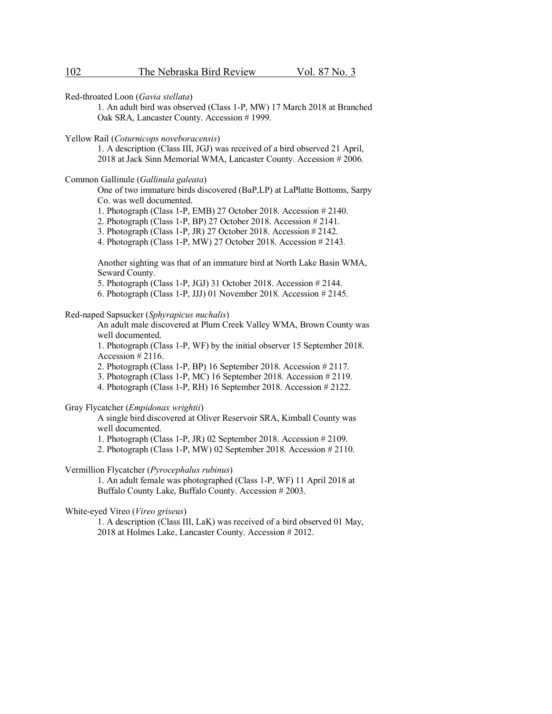Red-throated Loon (*Gavia stellata*)

1. An adult bird was observed (Class 1-P, MW) 17 March 2018 at Branched Oak SRA, Lancaster County. Accession # 1999.

Yellow Rail (*Coturnicops noveboracensis*)

1. A description (Class III, JGJ) was received of a bird observed 21 April, 2018 at Jack Sinn Memorial WMA, Lancaster County. Accession # 2006.

## Common Gallinule (*Gallinula galeata*)

One of two immature birds discovered (BaP,LP) at LaPlatte Bottoms, Sarpy Co. was well documented.

1. Photograph (Class 1-P, EMB) 27 October 2018. Accession # 2140.

2. Photograph (Class 1-P, BP) 27 October 2018. Accession # 2141.

3. Photograph (Class 1-P, JR) 27 October 2018. Accession # 2142.

4. Photograph (Class 1-P, MW) 27 October 2018. Accession # 2143.

Another sighting was that of an immature bird at North Lake Basin WMA, Seward County.

5. Photograph (Class 1-P, JGJ) 31 October 2018. Accession # 2144.

6. Photograph (Class 1-P, JJJ) 01 November 2018. Accession # 2145.

#### Red-naped Sapsucker (*Sphyrapicus nuchalis*)

An adult male discovered at Plum Creek Valley WMA, Brown County was well documented.

1. Photograph (Class 1-P, WF) by the initial observer 15 September 2018. Accession # 2116.

2. Photograph (Class 1-P, BP) 16 September 2018. Accession # 2117.

3. Photograph (Class 1-P, MC) 16 September 2018. Accession # 2119.

4. Photograph (Class 1-P, RH) 16 September 2018. Accession # 2122.

Gray Flycatcher (*Empidonax wrightii*)

A single bird discovered at Oliver Reservoir SRA, Kimball County was well documented.

1. Photograph (Class 1-P, JR) 02 September 2018. Accession # 2109.

2. Photograph (Class 1-P, MW) 02 September 2018. Accession # 2110.

Vermillion Flycatcher (*Pyrocephalus rubinus*)

1. An adult female was photographed (Class 1-P, WF) 11 April 2018 at Buffalo County Lake, Buffalo County. Accession # 2003.

White-eyed Vireo (*Vireo griseus*)

1. A description (Class III, LaK) was received of a bird observed 01 May, 2018 at Holmes Lake, Lancaster County. Accession # 2012.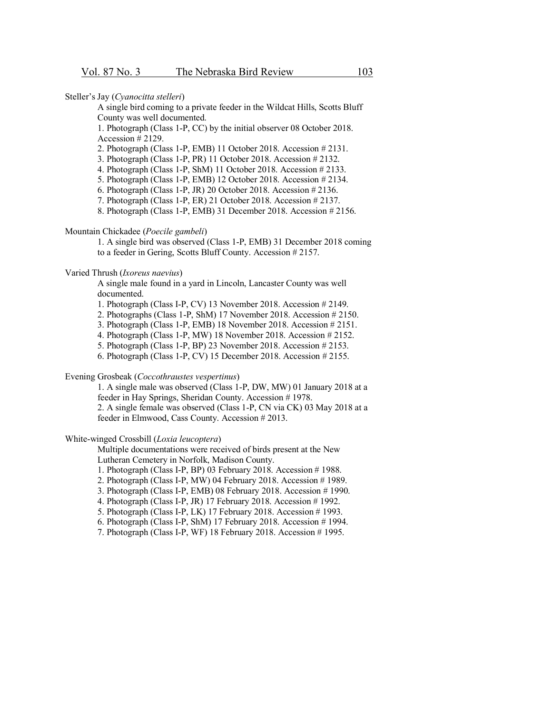Steller's Jay (*Cyanocitta stelleri*)

A single bird coming to a private feeder in the Wildcat Hills, Scotts Bluff County was well documented.

1. Photograph (Class 1-P, CC) by the initial observer 08 October 2018. Accession # 2129.

2. Photograph (Class 1-P, EMB) 11 October 2018. Accession # 2131.

3. Photograph (Class 1-P, PR) 11 October 2018. Accession # 2132.

4. Photograph (Class 1-P, ShM) 11 October 2018. Accession # 2133.

5. Photograph (Class 1-P, EMB) 12 October 2018. Accession # 2134.

6. Photograph (Class 1-P, JR) 20 October 2018. Accession # 2136.

7. Photograph (Class 1-P, ER) 21 October 2018. Accession # 2137.

8. Photograph (Class 1-P, EMB) 31 December 2018. Accession # 2156.

Mountain Chickadee (*Poecile gambeli*)

1. A single bird was observed (Class 1-P, EMB) 31 December 2018 coming to a feeder in Gering, Scotts Bluff County. Accession # 2157.

Varied Thrush (*Ixoreus naevius*)

A single male found in a yard in Lincoln, Lancaster County was well documented.

1. Photograph (Class I-P, CV) 13 November 2018. Accession # 2149.

2. Photographs (Class 1-P, ShM) 17 November 2018. Accession # 2150.

3. Photograph (Class 1-P, EMB) 18 November 2018. Accession # 2151.

4. Photograph (Class 1-P, MW) 18 November 2018. Accession # 2152.

- 5. Photograph (Class 1-P, BP) 23 November 2018. Accession # 2153.
- 6. Photograph (Class 1-P, CV) 15 December 2018. Accession # 2155.

Evening Grosbeak (*Coccothraustes vespertinus*)

1. A single male was observed (Class 1-P, DW, MW) 01 January 2018 at a feeder in Hay Springs, Sheridan County. Accession # 1978. 2. A single female was observed (Class 1-P, CN via CK) 03 May 2018 at a feeder in Elmwood, Cass County. Accession # 2013.

White-winged Crossbill (*Loxia leucoptera*)

Multiple documentations were received of birds present at the New Lutheran Cemetery in Norfolk, Madison County.

- 1. Photograph (Class I-P, BP) 03 February 2018. Accession # 1988.
- 2. Photograph (Class I-P, MW) 04 February 2018. Accession # 1989.
- 3. Photograph (Class I-P, EMB) 08 February 2018. Accession # 1990.
- 4. Photograph (Class I-P, JR) 17 February 2018. Accession # 1992.
- 5. Photograph (Class I-P, LK) 17 February 2018. Accession # 1993.
- 6. Photograph (Class I-P, ShM) 17 February 2018. Accession # 1994.
- 7. Photograph (Class I-P, WF) 18 February 2018. Accession # 1995.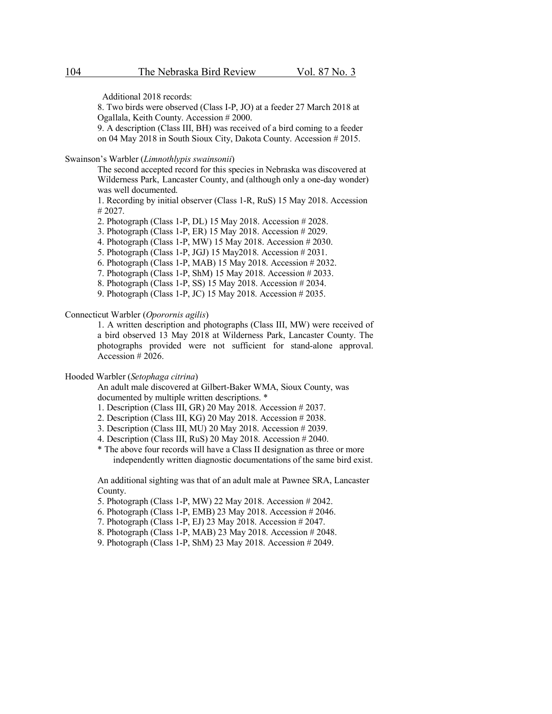Additional 2018 records:

8. Two birds were observed (Class I-P, JO) at a feeder 27 March 2018 at Ogallala, Keith County. Accession # 2000.

9. A description (Class III, BH) was received of a bird coming to a feeder on 04 May 2018 in South Sioux City, Dakota County. Accession # 2015.

Swainson's Warbler (*Limnothlypis swainsonii*)

The second accepted record for this species in Nebraska was discovered at Wilderness Park, Lancaster County, and (although only a one-day wonder) was well documented.

1. Recording by initial observer (Class 1-R, RuS) 15 May 2018. Accession # 2027.

2. Photograph (Class 1-P, DL) 15 May 2018. Accession # 2028.

3. Photograph (Class 1-P, ER) 15 May 2018. Accession # 2029.

4. Photograph (Class 1-P, MW) 15 May 2018. Accession # 2030.

- 5. Photograph (Class 1-P, JGJ) 15 May2018. Accession # 2031.
- 6. Photograph (Class 1-P, MAB) 15 May 2018. Accession # 2032.
- 7. Photograph (Class 1-P, ShM) 15 May 2018. Accession # 2033.
- 8. Photograph (Class 1-P, SS) 15 May 2018. Accession # 2034.
- 9. Photograph (Class 1-P, JC) 15 May 2018. Accession # 2035.

## Connecticut Warbler (*Oporornis agilis*)

1. A written description and photographs (Class III, MW) were received of a bird observed 13 May 2018 at Wilderness Park, Lancaster County. The photographs provided were not sufficient for stand-alone approval. Accession # 2026.

## Hooded Warbler (*Setophaga citrina*)

An adult male discovered at Gilbert-Baker WMA, Sioux County, was documented by multiple written descriptions. \*

- 1. Description (Class III, GR) 20 May 2018. Accession # 2037.
- 2. Description (Class III, KG) 20 May 2018. Accession # 2038.
- 3. Description (Class III, MU) 20 May 2018. Accession # 2039.
- 4. Description (Class III, RuS) 20 May 2018. Accession # 2040.
- \* The above four records will have a Class II designation as three or more independently written diagnostic documentations of the same bird exist.

An additional sighting was that of an adult male at Pawnee SRA, Lancaster County.

- 5. Photograph (Class 1-P, MW) 22 May 2018. Accession # 2042.
- 6. Photograph (Class 1-P, EMB) 23 May 2018. Accession # 2046.
- 7. Photograph (Class 1-P, EJ) 23 May 2018. Accession # 2047.
- 8. Photograph (Class 1-P, MAB) 23 May 2018. Accession # 2048.
- 9. Photograph (Class 1-P, ShM) 23 May 2018. Accession # 2049.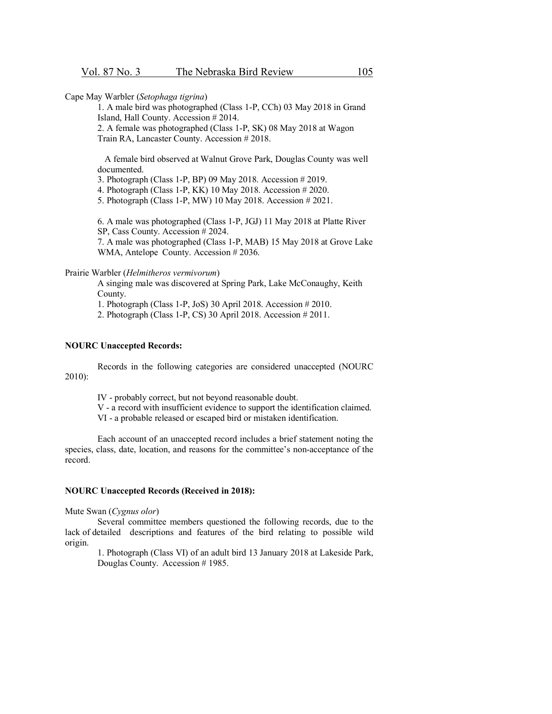Cape May Warbler (*Setophaga tigrina*)

1. A male bird was photographed (Class 1-P, CCh) 03 May 2018 in Grand Island, Hall County. Accession # 2014.

2. A female was photographed (Class 1-P, SK) 08 May 2018 at Wagon Train RA, Lancaster County. Accession # 2018.

A female bird observed at Walnut Grove Park, Douglas County was well documented.

3. Photograph (Class 1-P, BP) 09 May 2018. Accession # 2019.

4. Photograph (Class 1-P, KK) 10 May 2018. Accession # 2020.

5. Photograph (Class 1-P, MW) 10 May 2018. Accession # 2021.

6. A male was photographed (Class 1-P, JGJ) 11 May 2018 at Platte River SP, Cass County. Accession # 2024.

7. A male was photographed (Class 1-P, MAB) 15 May 2018 at Grove Lake WMA, Antelope County. Accession #2036.

#### Prairie Warbler (*Helmitheros vermivorum*)

A singing male was discovered at Spring Park, Lake McConaughy, Keith County.

1. Photograph (Class 1-P, JoS) 30 April 2018. Accession # 2010.

2. Photograph (Class 1-P, CS) 30 April 2018. Accession # 2011.

#### **NOURC Unaccepted Records:**

Records in the following categories are considered unaccepted (NOURC 2010):

IV - probably correct, but not beyond reasonable doubt.

V - a record with insufficient evidence to support the identification claimed.

VI - a probable released or escaped bird or mistaken identification.

Each account of an unaccepted record includes a brief statement noting the species, class, date, location, and reasons for the committee's non-acceptance of the record.

#### **NOURC Unaccepted Records (Received in 2018):**

Mute Swan (*Cygnus olor*)

Several committee members questioned the following records, due to the lack of detailed descriptions and features of the bird relating to possible wild origin.

1. Photograph (Class VI) of an adult bird 13 January 2018 at Lakeside Park, Douglas County. Accession # 1985.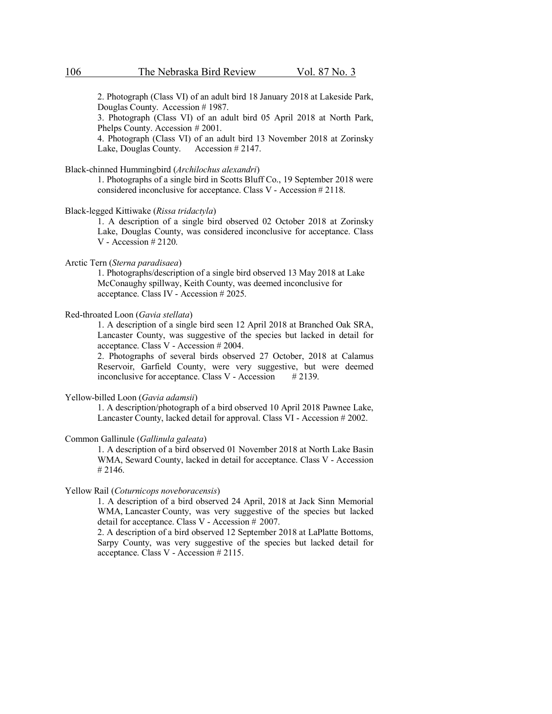2. Photograph (Class VI) of an adult bird 18 January 2018 at Lakeside Park, Douglas County. Accession # 1987.

3. Photograph (Class VI) of an adult bird 05 April 2018 at North Park, Phelps County. Accession # 2001.

4. Photograph (Class VI) of an adult bird 13 November 2018 at Zorinsky Lake, Douglas County. Accession # 2147.

## Black-chinned Hummingbird (*Archilochus alexandri*)

1. Photographs of a single bird in Scotts Bluff Co., 19 September 2018 were considered inconclusive for acceptance. Class V - Accession # 2118.

#### Black-legged Kittiwake (*Rissa tridactyla*)

1. A description of a single bird observed 02 October 2018 at Zorinsky Lake, Douglas County, was considered inconclusive for acceptance. Class V - Accession # 2120.

## Arctic Tern (*Sterna paradisaea*)

1. Photographs/description of a single bird observed 13 May 2018 at Lake McConaughy spillway, Keith County, was deemed inconclusive for acceptance. Class IV - Accession # 2025.

## Red-throated Loon (*Gavia stellata*)

1. A description of a single bird seen 12 April 2018 at Branched Oak SRA, Lancaster County, was suggestive of the species but lacked in detail for acceptance. Class V - Accession # 2004.

2. Photographs of several birds observed 27 October, 2018 at Calamus Reservoir, Garfield County, were very suggestive, but were deemed inconclusive for acceptance. Class V - Accession  $\#2139$ .

Yellow-billed Loon (*Gavia adamsii*)

1. A description/photograph of a bird observed 10 April 2018 Pawnee Lake, Lancaster County, lacked detail for approval. Class VI - Accession # 2002.

#### Common Gallinule (*Gallinula galeata*)

1. A description of a bird observed 01 November 2018 at North Lake Basin WMA, Seward County, lacked in detail for acceptance. Class V - Accession # 2146.

Yellow Rail (*Coturnicops noveboracensis*)

1. A description of a bird observed 24 April, 2018 at Jack Sinn Memorial WMA, Lancaster County, was very suggestive of the species but lacked detail for acceptance. Class V - Accession # 2007.

2. A description of a bird observed 12 September 2018 at LaPlatte Bottoms, Sarpy County, was very suggestive of the species but lacked detail for acceptance. Class V - Accession # 2115.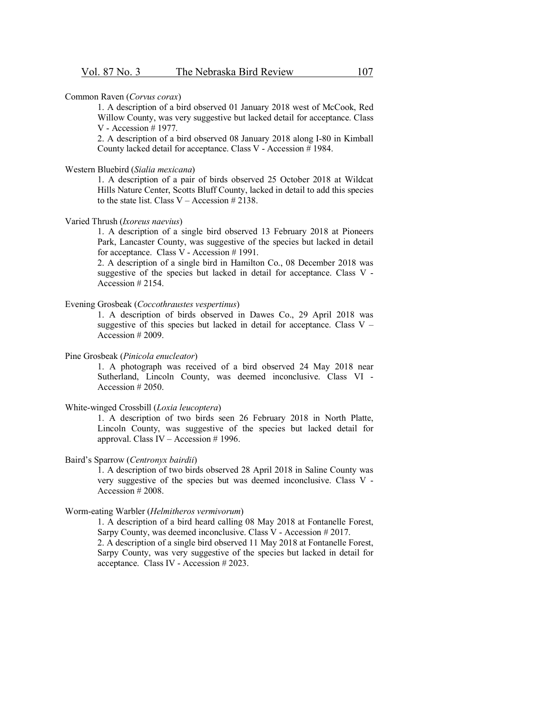#### Common Raven (*Corvus corax*)

1. A description of a bird observed 01 January 2018 west of McCook, Red Willow County, was very suggestive but lacked detail for acceptance. Class V - Accession # 1977.

2. A description of a bird observed 08 January 2018 along I-80 in Kimball County lacked detail for acceptance. Class V - Accession # 1984.

## Western Bluebird (*Sialia mexicana*)

1. A description of a pair of birds observed 25 October 2018 at Wildcat Hills Nature Center, Scotts Bluff County, lacked in detail to add this species to the state list. Class V – Accession  $\#2138$ .

## Varied Thrush (*Ixoreus naevius*)

1. A description of a single bird observed 13 February 2018 at Pioneers Park, Lancaster County, was suggestive of the species but lacked in detail for acceptance. Class V - Accession # 1991.

2. A description of a single bird in Hamilton Co., 08 December 2018 was suggestive of the species but lacked in detail for acceptance. Class V - Accession # 2154.

## Evening Grosbeak (*Coccothraustes vespertinus*)

1. A description of birds observed in Dawes Co., 29 April 2018 was suggestive of this species but lacked in detail for acceptance. Class  $V -$ Accession # 2009.

## Pine Grosbeak (*Pinicola enucleator*)

1. A photograph was received of a bird observed 24 May 2018 near Sutherland, Lincoln County, was deemed inconclusive. Class VI - Accession # 2050.

## White-winged Crossbill (*Loxia leucoptera*)

1. A description of two birds seen 26 February 2018 in North Platte, Lincoln County, was suggestive of the species but lacked detail for approval. Class IV – Accession # 1996.

#### Baird's Sparrow (*Centronyx bairdii*)

1. A description of two birds observed 28 April 2018 in Saline County was very suggestive of the species but was deemed inconclusive. Class V - Accession # 2008.

#### Worm-eating Warbler (*Helmitheros vermivorum*)

1. A description of a bird heard calling 08 May 2018 at Fontanelle Forest, Sarpy County, was deemed inconclusive. Class V - Accession # 2017. 2. A description of a single bird observed 11 May 2018 at Fontanelle Forest, Sarpy County, was very suggestive of the species but lacked in detail for acceptance. Class IV - Accession # 2023.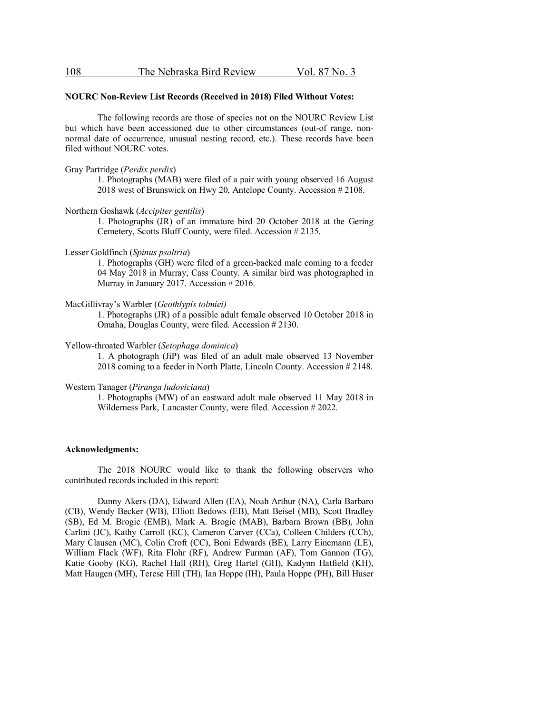| 108<br>The Nebraska Bird Review | Vol. 87 No. 3 |
|---------------------------------|---------------|
|---------------------------------|---------------|

#### **NOURC Non-Review List Records (Received in 2018) Filed Without Votes:**

The following records are those of species not on the NOURC Review List but which have been accessioned due to other circumstances (out-of range, nonnormal date of occurrence, unusual nesting record, etc.). These records have been filed without NOURC votes.

## Gray Partridge (*Perdix perdix*)

1. Photographs (MAB) were filed of a pair with young observed 16 August 2018 west of Brunswick on Hwy 20, Antelope County. Accession # 2108.

#### Northern Goshawk (*Accipiter gentilis*)

1. Photographs (JR) of an immature bird 20 October 2018 at the Gering Cemetery, Scotts Bluff County, were filed. Accession # 2135.

#### Lesser Goldfinch (*Spinus psaltria*)

1. Photographs (GH) were filed of a green-backed male coming to a feeder 04 May 2018 in Murray, Cass County. A similar bird was photographed in Murray in January 2017. Accession # 2016.

#### MacGillivray's Warbler (*Geothlypis tolmiei)*

1. Photographs (JR) of a possible adult female observed 10 October 2018 in Omaha, Douglas County, were filed. Accession # 2130.

## Yellow-throated Warbler (*Setophaga dominica*)

1. A photograph (JiP) was filed of an adult male observed 13 November 2018 coming to a feeder in North Platte, Lincoln County. Accession # 2148.

#### Western Tanager (*Piranga ludoviciana*)

1. Photographs (MW) of an eastward adult male observed 11 May 2018 in Wilderness Park, Lancaster County, were filed. Accession # 2022.

## **Acknowledgments:**

The 2018 NOURC would like to thank the following observers who contributed records included in this report:

Danny Akers (DA), Edward Allen (EA), Noah Arthur (NA), Carla Barbaro (CB), Wendy Becker (WB), Elliott Bedows (EB), Matt Beisel (MB), Scott Bradley (SB), Ed M. Brogie (EMB), Mark A. Brogie (MAB), Barbara Brown (BB), John Carlini (JC), Kathy Carroll (KC), Cameron Carver (CCa), Colleen Childers (CCh), Mary Clausen (MC), Colin Croft (CC), Boni Edwards (BE), Larry Einemann (LE), William Flack (WF), Rita Flohr (RF), Andrew Furman (AF), Tom Gannon (TG), Katie Gooby (KG), Rachel Hall (RH), Greg Hartel (GH), Kadynn Hatfield (KH), Matt Haugen (MH), Terese Hill (TH), Ian Hoppe (IH), Paula Hoppe (PH), Bill Huser